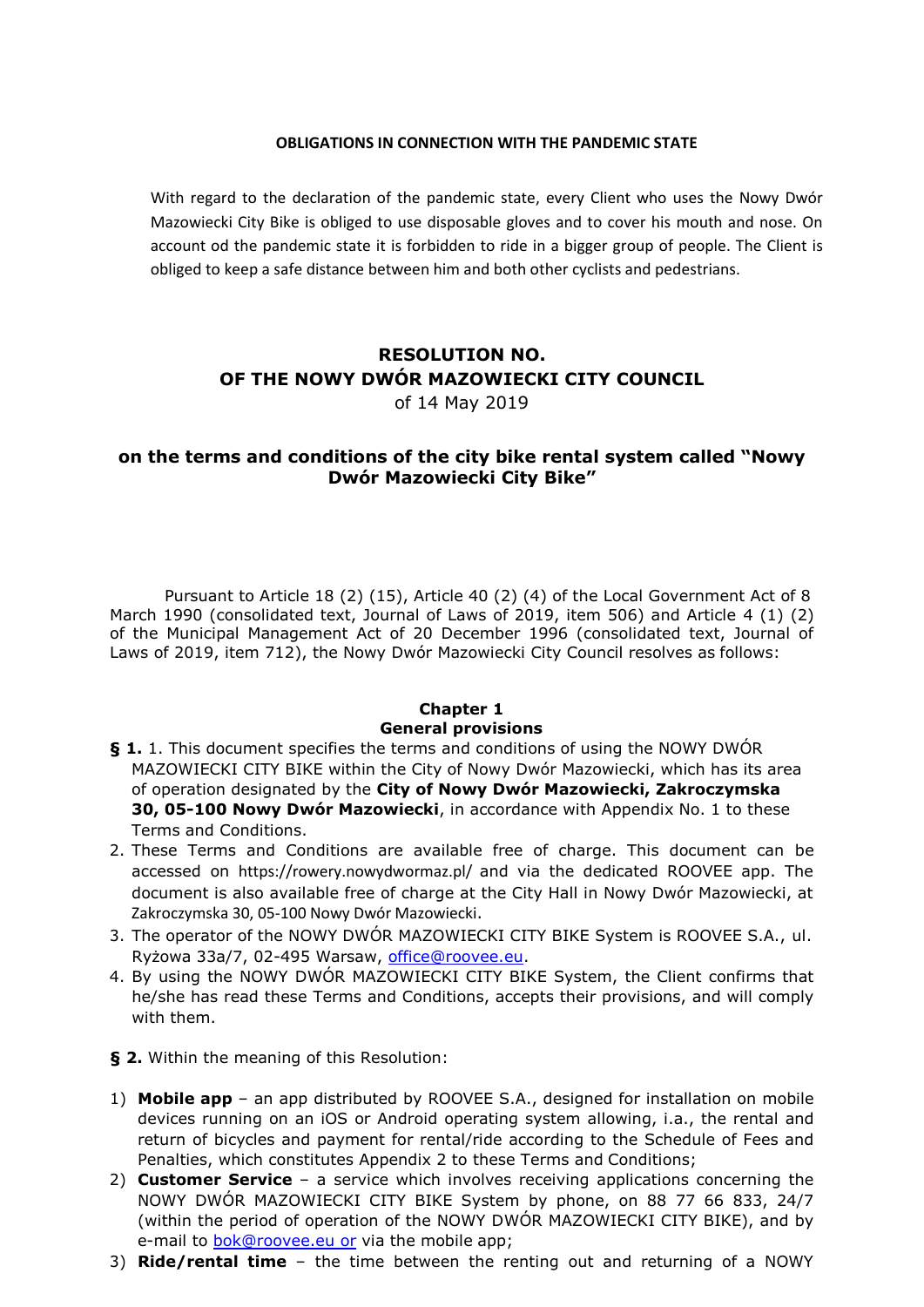#### **OBLIGATIONS IN CONNECTION WITH THE PANDEMIC STATE**

With regard to the declaration of the pandemic state, every Client who uses the Nowy Dwór Mazowiecki City Bike is obliged to use disposable gloves and to cover his mouth and nose. On account od the pandemic state it is forbidden to ride in a bigger group of people. The Client is obliged to keep a safe distance between him and both other cyclists and pedestrians.

## **RESOLUTION NO. OF THE NOWY DWÓR MAZOWIECKI CITY COUNCIL**

of 14 May 2019

## **on the terms and conditions of the city bike rental system called "Nowy Dwór Mazowiecki City Bike"**

Pursuant to Article 18 (2) (15), Article 40 (2) (4) of the Local Government Act of 8 March 1990 (consolidated text, Journal of Laws of 2019, item 506) and Article 4 (1) (2) of the Municipal Management Act of 20 December 1996 (consolidated text, Journal of Laws of 2019, item 712), the Nowy Dwór Mazowiecki City Council resolves as follows:

## **Chapter 1 General provisions**

- **§ 1.** 1. This document specifies the terms and conditions of using the NOWY DWÓR MAZOWIECKI CITY BIKE within the City of Nowy Dwór Mazowiecki, which has its area of operation designated by the **City of Nowy Dwór Mazowiecki, Zakroczymska 30, 05-100 Nowy Dwór Mazowiecki**, in accordance with Appendix No. 1 to these Terms and Conditions.
- 2. These Terms and Conditions are available free of charge. This document can be accessed on <https://rowery.nowydwormaz.pl/> and via the dedicated ROOVEE app. The document is also available free of charge at the City Hall in Nowy Dwór Mazowiecki, at Zakroczymska 30, 05-100 Nowy Dwór Mazowiecki.
- 3. The operator of the NOWY DWÓR MAZOWIECKI CITY BIKE System is ROOVEE S.A., ul. Ryżowa 33a/7, 02-495 Warsaw, [office@roovee.eu.](mailto:office@roovee.eu)
- 4. By using the NOWY DWÓR MAZOWIECKI CITY BIKE System, the Client confirms that he/she has read these Terms and Conditions, accepts their provisions, and will comply with them.
- **§ 2.** Within the meaning of this Resolution:
- 1) **Mobile app** an app distributed by ROOVEE S.A., designed for installation on mobile devices running on an iOS or Android operating system allowing, i.a., the rental and return of bicycles and payment for rental/ride according to the Schedule of Fees and Penalties, which constitutes Appendix 2 to these Terms and Conditions;
- 2) **Customer Service**  a service which involves receiving applications concerning the NOWY DWÓR MAZOWIECKI CITY BIKE System by phone, on 88 77 66 833, 24/7 (within the period of operation of the NOWY DWÓR MAZOWIECKI CITY BIKE), and by e-mail to [bok@roovee.eu o](mailto:bok@roovee.eu)r via the mobile app;
- 3) **Ride/rental time**  the time between the renting out and returning of a NOWY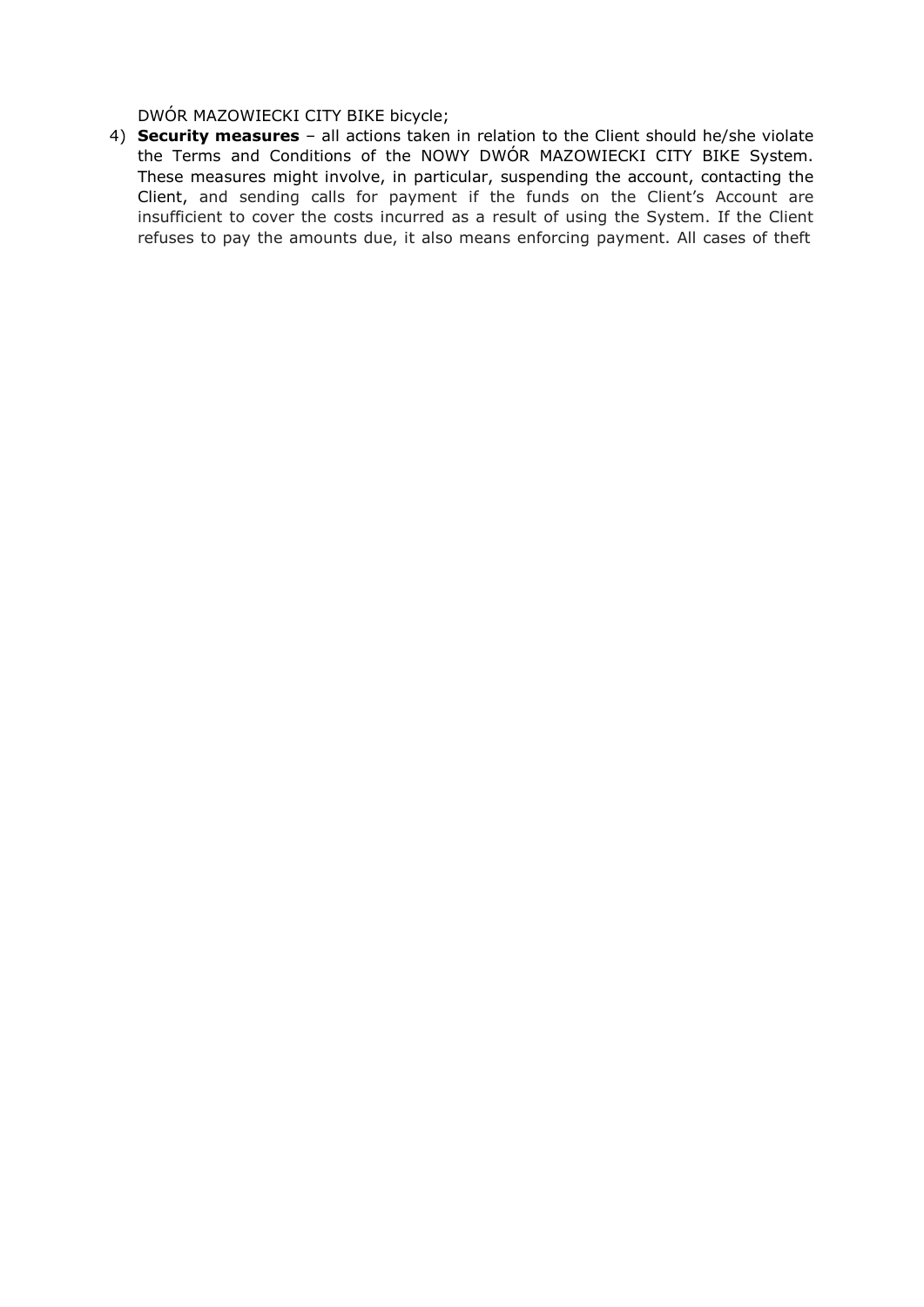DWÓR MAZOWIECKI CITY BIKE bicycle;

4) **Security measures** – all actions taken in relation to the Client should he/she violate the Terms and Conditions of the NOWY DWÓR MAZOWIECKI CITY BIKE System. These measures might involve, in particular, suspending the account, contacting the Client, and sending calls for payment if the funds on the Client's Account are insufficient to cover the costs incurred as a result of using the System. If the Client refuses to pay the amounts due, it also means enforcing payment. All cases of theft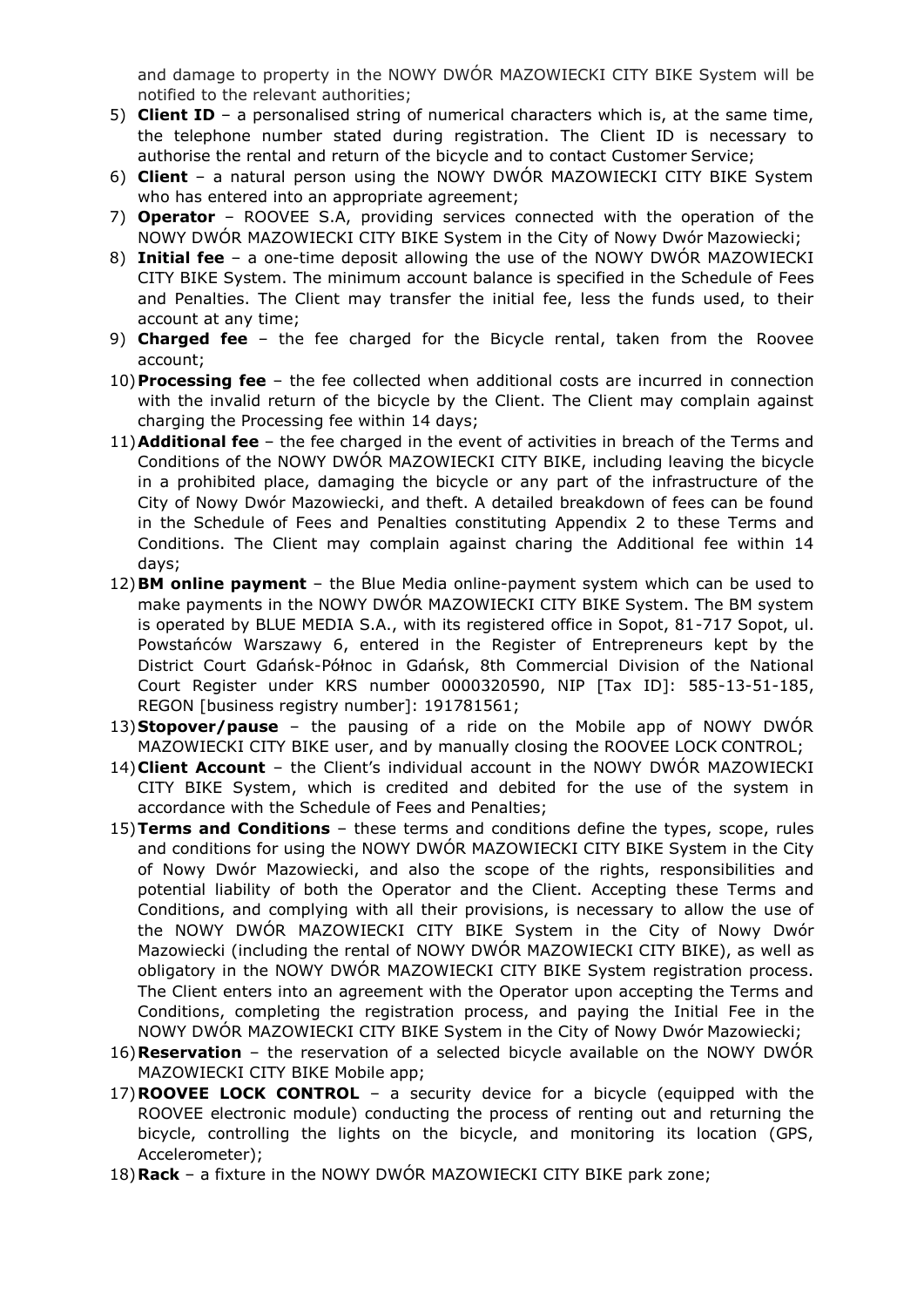and damage to property in the NOWY DWÓR MAZOWIECKI CITY BIKE System will be notified to the relevant authorities;

- 5) **Client ID**  a personalised string of numerical characters which is, at the same time, the telephone number stated during registration. The Client ID is necessary to authorise the rental and return of the bicycle and to contact Customer Service;
- 6) **Client**  a natural person using the NOWY DWÓR MAZOWIECKI CITY BIKE System who has entered into an appropriate agreement;
- 7) **Operator**  ROOVEE S.A, providing services connected with the operation of the NOWY DWÓR MAZOWIECKI CITY BIKE System in the City of Nowy Dwór Mazowiecki;
- 8) **Initial fee**  a one-time deposit allowing the use of the NOWY DWÓR MAZOWIECKI CITY BIKE System. The minimum account balance is specified in the Schedule of Fees and Penalties. The Client may transfer the initial fee, less the funds used, to their account at any time;
- 9) **Charged fee**  the fee charged for the Bicycle rental, taken from the Roovee account;
- 10)**Processing fee**  the fee collected when additional costs are incurred in connection with the invalid return of the bicycle by the Client. The Client may complain against charging the Processing fee within 14 days;
- 11)**Additional fee**  the fee charged in the event of activities in breach of the Terms and Conditions of the NOWY DWÓR MAZOWIECKI CITY BIKE, including leaving the bicycle in a prohibited place, damaging the bicycle or any part of the infrastructure of the City of Nowy Dwór Mazowiecki, and theft. A detailed breakdown of fees can be found in the Schedule of Fees and Penalties constituting Appendix 2 to these Terms and Conditions. The Client may complain against charing the Additional fee within 14 days;
- 12)**BM online payment**  the Blue Media online-payment system which can be used to make payments in the NOWY DWÓR MAZOWIECKI CITY BIKE System. The BM system is operated by BLUE MEDIA S.A., with its registered office in Sopot, 81-717 Sopot, ul. Powstańców Warszawy 6, entered in the Register of Entrepreneurs kept by the District Court Gdańsk-Północ in Gdańsk, 8th Commercial Division of the National Court Register under KRS number 0000320590, NIP [Tax ID]: 585-13-51-185, REGON [business registry number]: 191781561;
- 13)**Stopover/pause**  the pausing of a ride on the Mobile app of NOWY DWÓR MAZOWIECKI CITY BIKE user, and by manually closing the ROOVEE LOCK CONTROL;
- 14)**Client Account**  the Client's individual account in the NOWY DWÓR MAZOWIECKI CITY BIKE System, which is credited and debited for the use of the system in accordance with the Schedule of Fees and Penalties;
- 15)**Terms and Conditions**  these terms and conditions define the types, scope, rules and conditions for using the NOWY DWÓR MAZOWIECKI CITY BIKE System in the City of Nowy Dwór Mazowiecki, and also the scope of the rights, responsibilities and potential liability of both the Operator and the Client. Accepting these Terms and Conditions, and complying with all their provisions, is necessary to allow the use of the NOWY DWÓR MAZOWIECKI CITY BIKE System in the City of Nowy Dwór Mazowiecki (including the rental of NOWY DWÓR MAZOWIECKI CITY BIKE), as well as obligatory in the NOWY DWÓR MAZOWIECKI CITY BIKE System registration process. The Client enters into an agreement with the Operator upon accepting the Terms and Conditions, completing the registration process, and paying the Initial Fee in the NOWY DWÓR MAZOWIECKI CITY BIKE System in the City of Nowy Dwór Mazowiecki;
- 16)**Reservation**  the reservation of a selected bicycle available on the NOWY DWÓR MAZOWIECKI CITY BIKE Mobile app;
- 17)**ROOVEE LOCK CONTROL**  a security device for a bicycle (equipped with the ROOVEE electronic module) conducting the process of renting out and returning the bicycle, controlling the lights on the bicycle, and monitoring its location (GPS, Accelerometer);
- 18)**Rack**  a fixture in the NOWY DWÓR MAZOWIECKI CITY BIKE park zone;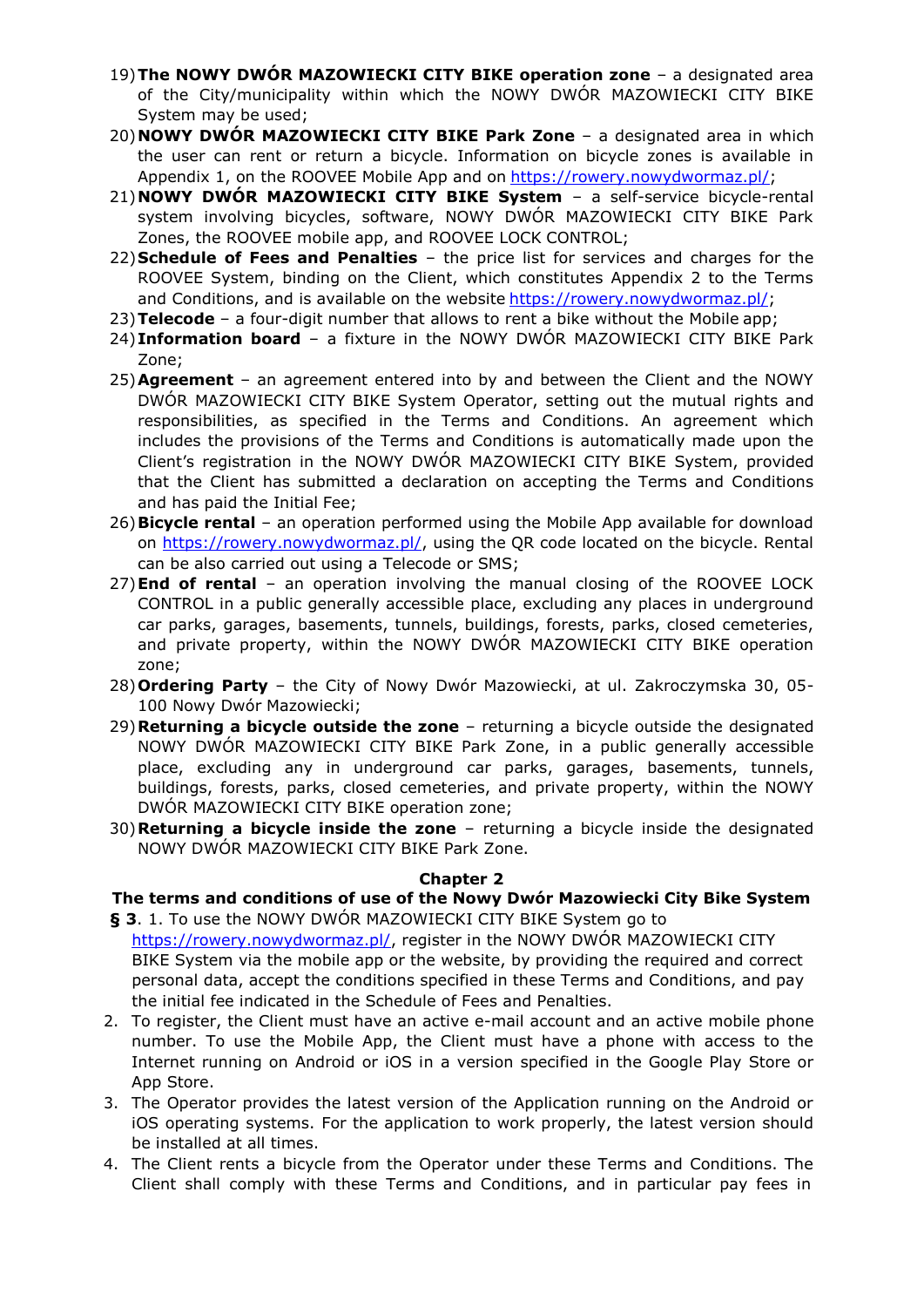- 19)**The NOWY DWÓR MAZOWIECKI CITY BIKE operation zone**  a designated area of the City/municipality within which the NOWY DWÓR MAZOWIECKI CITY BIKE System may be used;
- 20)**NOWY DWÓR MAZOWIECKI CITY BIKE Park Zone**  a designated area in which the user can rent or return a bicycle. Information on bicycle zones is available in Appendix 1, on the ROOVEE Mobile App and on [https://rowery.nowydwormaz.pl/;](https://rowery.nowydwormaz.pl/)
- 21)**NOWY DWÓR MAZOWIECKI CITY BIKE System**  a self-service bicycle-rental system involving bicycles, software, NOWY DWÓR MAZOWIECKI CITY BIKE Park Zones, the ROOVEE mobile app, and ROOVEE LOCK CONTROL;
- 22)**Schedule of Fees and Penalties**  the price list for services and charges for the ROOVEE System, binding on the Client, which constitutes Appendix 2 to the Terms and Conditions, and is available on the website [https://rowery.nowydwormaz.pl/;](https://rowery.nowydwormaz.pl/)
- 23)**Telecode**  a four-digit number that allows to rent a bike without the Mobile app;
- 24)**Information board**  a fixture in the NOWY DWÓR MAZOWIECKI CITY BIKE Park Zone;
- 25)**Agreement**  an agreement entered into by and between the Client and the NOWY DWÓR MAZOWIECKI CITY BIKE System Operator, setting out the mutual rights and responsibilities, as specified in the Terms and Conditions. An agreement which includes the provisions of the Terms and Conditions is automatically made upon the Client's registration in the NOWY DWÓR MAZOWIECKI CITY BIKE System, provided that the Client has submitted a declaration on accepting the Terms and Conditions and has paid the Initial Fee;
- 26)**Bicycle rental**  an operation performed using the Mobile App available for download on [https://rowery.nowydwormaz.pl/,](https://rowery.nowydwormaz.pl/) using the QR code located on the bicycle. Rental can be also carried out using a Telecode or SMS;
- 27)**End of rental**  an operation involving the manual closing of the ROOVEE LOCK CONTROL in a public generally accessible place, excluding any places in underground car parks, garages, basements, tunnels, buildings, forests, parks, closed cemeteries, and private property, within the NOWY DWÓR MAZOWIECKI CITY BIKE operation zone;
- 28)**Ordering Party**  the City of Nowy Dwór Mazowiecki, at ul. Zakroczymska 30, 05- 100 Nowy Dwór Mazowiecki;
- 29)**Returning a bicycle outside the zone** ‒ returning a bicycle outside the designated NOWY DWÓR MAZOWIECKI CITY BIKE Park Zone, in a public generally accessible place, excluding any in underground car parks, garages, basements, tunnels, buildings, forests, parks, closed cemeteries, and private property, within the NOWY DWÓR MAZOWIECKI CITY BIKE operation zone;
- 30)**Returning a bicycle inside the zone** ‒ returning a bicycle inside the designated NOWY DWÓR MAZOWIECKI CITY BIKE Park Zone.

### **Chapter 2**

# **The terms and conditions of use of the Nowy Dwór Mazowiecki City Bike System**

- **§ 3**. 1. To use the NOWY DWÓR MAZOWIECKI CITY BIKE System go to <https://rowery.nowydwormaz.pl/>, register in the NOWY DWÓR MAZOWIECKI CITY BIKE System via the mobile app or the website, by providing the required and correct personal data, accept the conditions specified in these Terms and Conditions, and pay the initial fee indicated in the Schedule of Fees and Penalties.
- 2. To register, the Client must have an active e-mail account and an active mobile phone number. To use the Mobile App, the Client must have a phone with access to the Internet running on Android or iOS in a version specified in the Google Play Store or App Store.
- 3. The Operator provides the latest version of the Application running on the Android or iOS operating systems. For the application to work properly, the latest version should be installed at all times.
- 4. The Client rents a bicycle from the Operator under these Terms and Conditions. The Client shall comply with these Terms and Conditions, and in particular pay fees in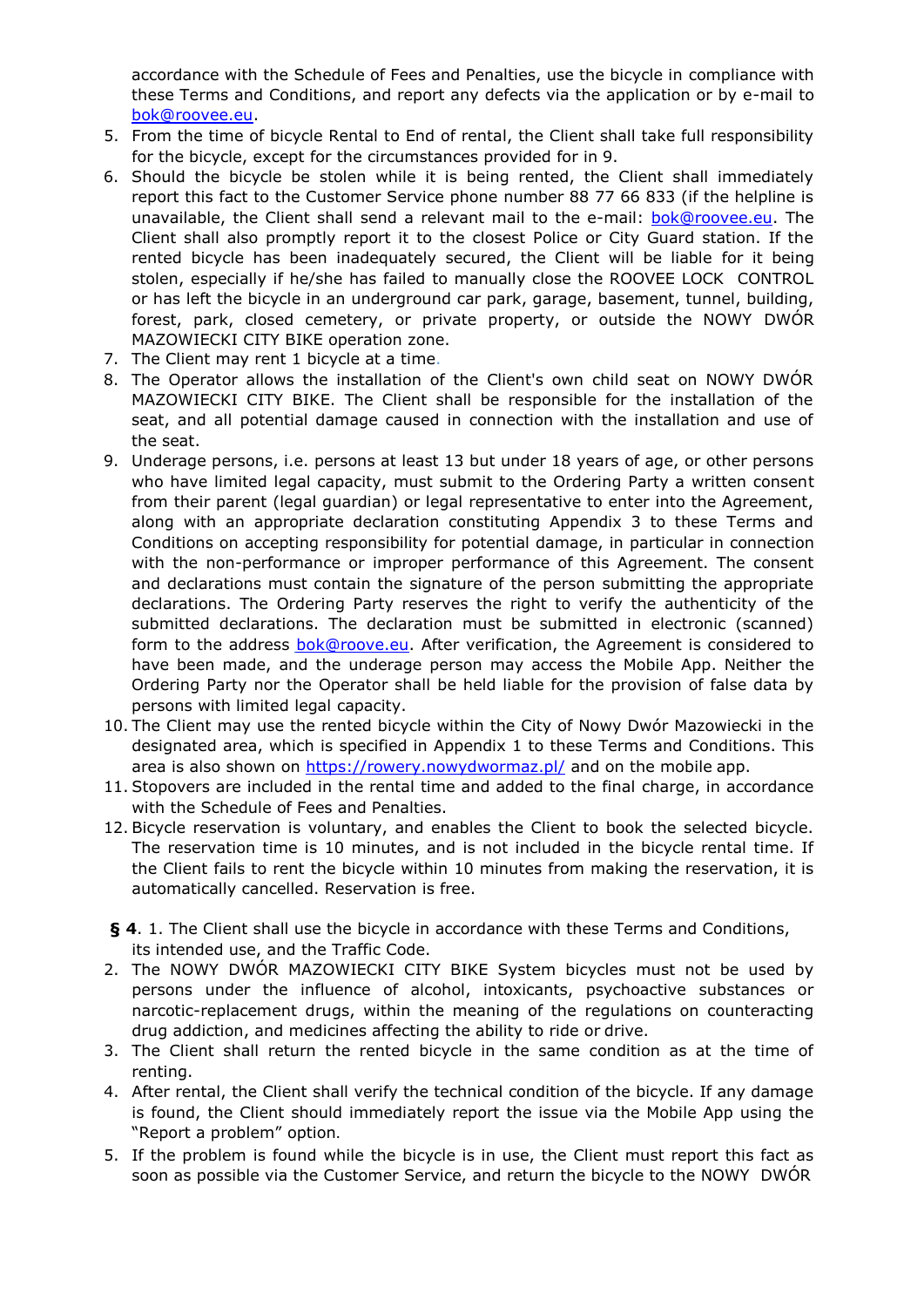accordance with the Schedule of Fees and Penalties, use the bicycle in compliance with these Terms and Conditions, and report any defects via the application or by e-mail to [bok@roovee.eu.](mailto:bok@roovee.eu)

- 5. From the time of bicycle Rental to End of rental, the Client shall take full responsibility for the bicycle, except for the circumstances provided for in 9.
- 6. Should the bicycle be stolen while it is being rented, the Client shall immediately report this fact to the Customer Service phone number 88 77 66 833 (if the helpline is unavailable, the Client shall send a relevant mail to the e-mail: [bok@roovee.eu.](mailto:bok@roovee.eu) The Client shall also promptly report it to the closest Police or City Guard station. If the rented bicycle has been inadequately secured, the Client will be liable for it being stolen, especially if he/she has failed to manually close the ROOVEE LOCK CONTROL or has left the bicycle in an underground car park, garage, basement, tunnel, building, forest, park, closed cemetery, or private property, or outside the NOWY DWÓR MAZOWIECKI CITY BIKE operation zone.
- 7. The Client may rent 1 bicycle at a time.
- 8. The Operator allows the installation of the Client's own child seat on NOWY DWÓR MAZOWIECKI CITY BIKE. The Client shall be responsible for the installation of the seat, and all potential damage caused in connection with the installation and use of the seat.
- 9. Underage persons, i.e. persons at least 13 but under 18 years of age, or other persons who have limited legal capacity, must submit to the Ordering Party a written consent from their parent (legal guardian) or legal representative to enter into the Agreement, along with an appropriate declaration constituting Appendix 3 to these Terms and Conditions on accepting responsibility for potential damage, in particular in connection with the non-performance or improper performance of this Agreement. The consent and declarations must contain the signature of the person submitting the appropriate declarations. The Ordering Party reserves the right to verify the authenticity of the submitted declarations. The declaration must be submitted in electronic (scanned) form to the address **bok@roove.eu**. After verification, the Agreement is considered to have been made, and the underage person may access the Mobile App. Neither the Ordering Party nor the Operator shall be held liable for the provision of false data by persons with limited legal capacity.
- 10. The Client may use the rented bicycle within the City of Nowy Dwór Mazowiecki in the designated area, which is specified in Appendix 1 to these Terms and Conditions. This area is also shown on <https://rowery.nowydwormaz.pl/> and on the mobile app.
- 11. Stopovers are included in the rental time and added to the final charge, in accordance with the Schedule of Fees and Penalties.
- 12. Bicycle reservation is voluntary, and enables the Client to book the selected bicycle. The reservation time is 10 minutes, and is not included in the bicycle rental time. If the Client fails to rent the bicycle within 10 minutes from making the reservation, it is automatically cancelled. Reservation is free.

**§ 4**. 1. The Client shall use the bicycle in accordance with these Terms and Conditions, its intended use, and the Traffic Code.

- 2. The NOWY DWÓR MAZOWIECKI CITY BIKE System bicycles must not be used by persons under the influence of alcohol, intoxicants, psychoactive substances or narcotic-replacement drugs, within the meaning of the regulations on counteracting drug addiction, and medicines affecting the ability to ride or drive.
- 3. The Client shall return the rented bicycle in the same condition as at the time of renting.
- 4. After rental, the Client shall verify the technical condition of the bicycle. If any damage is found, the Client should immediately report the issue via the Mobile App using the "Report a problem" option.
- 5. If the problem is found while the bicycle is in use, the Client must report this fact as soon as possible via the Customer Service, and return the bicycle to the NOWY DWÓR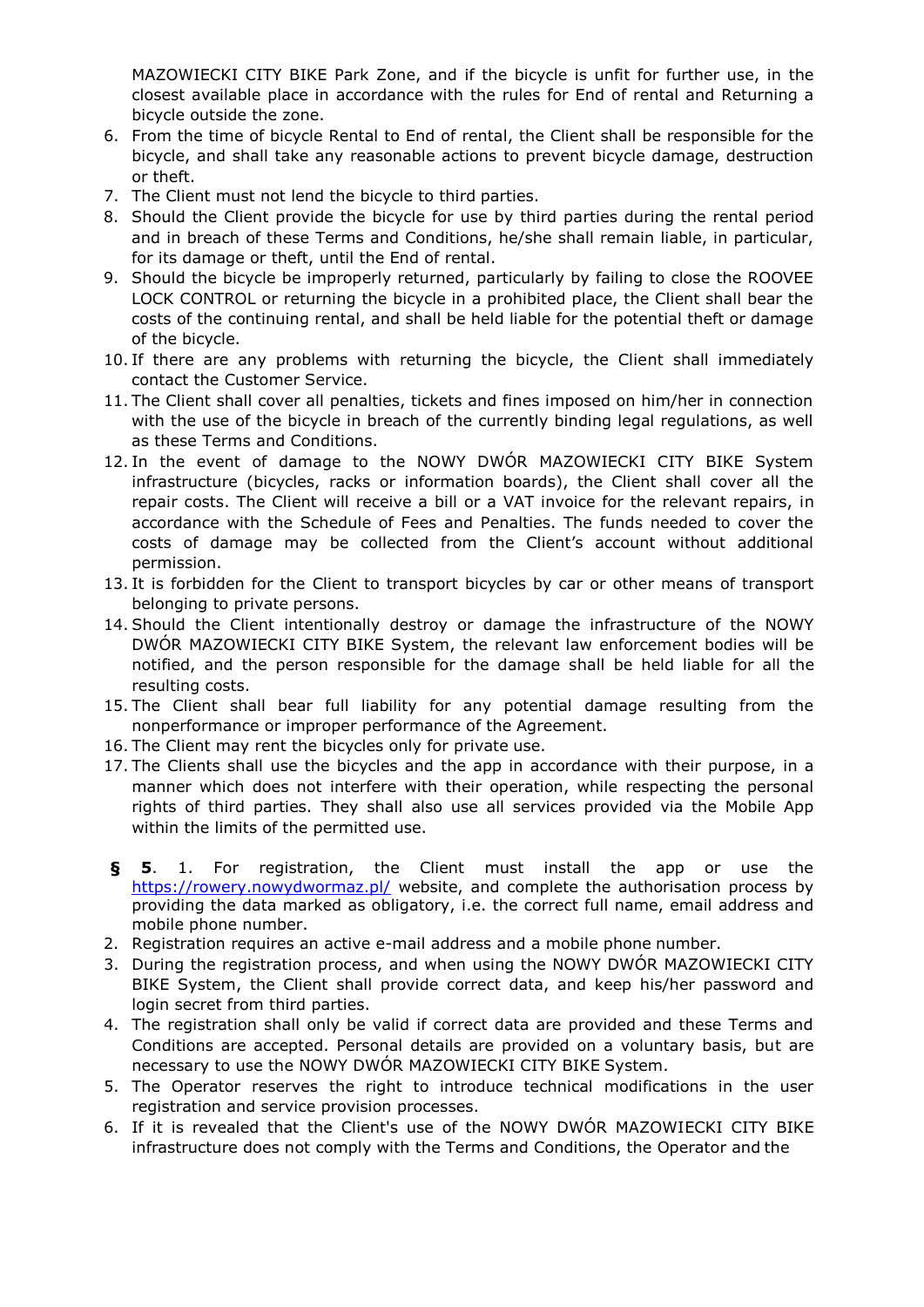MAZOWIECKI CITY BIKE Park Zone, and if the bicycle is unfit for further use, in the closest available place in accordance with the rules for End of rental and Returning a bicycle outside the zone.

- 6. From the time of bicycle Rental to End of rental, the Client shall be responsible for the bicycle, and shall take any reasonable actions to prevent bicycle damage, destruction or theft.
- 7. The Client must not lend the bicycle to third parties.
- 8. Should the Client provide the bicycle for use by third parties during the rental period and in breach of these Terms and Conditions, he/she shall remain liable, in particular, for its damage or theft, until the End of rental.
- 9. Should the bicycle be improperly returned, particularly by failing to close the ROOVEE LOCK CONTROL or returning the bicycle in a prohibited place, the Client shall bear the costs of the continuing rental, and shall be held liable for the potential theft or damage of the bicycle.
- 10. If there are any problems with returning the bicycle, the Client shall immediately contact the Customer Service.
- 11. The Client shall cover all penalties, tickets and fines imposed on him/her in connection with the use of the bicycle in breach of the currently binding legal regulations, as well as these Terms and Conditions.
- 12. In the event of damage to the NOWY DWÓR MAZOWIECKI CITY BIKE System infrastructure (bicycles, racks or information boards), the Client shall cover all the repair costs. The Client will receive a bill or a VAT invoice for the relevant repairs, in accordance with the Schedule of Fees and Penalties. The funds needed to cover the costs of damage may be collected from the Client's account without additional permission.
- 13. It is forbidden for the Client to transport bicycles by car or other means of transport belonging to private persons.
- 14. Should the Client intentionally destroy or damage the infrastructure of the NOWY DWÓR MAZOWIECKI CITY BIKE System, the relevant law enforcement bodies will be notified, and the person responsible for the damage shall be held liable for all the resulting costs.
- 15. The Client shall bear full liability for any potential damage resulting from the nonperformance or improper performance of the Agreement.
- 16. The Client may rent the bicycles only for private use.
- 17. The Clients shall use the bicycles and the app in accordance with their purpose, in a manner which does not interfere with their operation, while respecting the personal rights of third parties. They shall also use all services provided via the Mobile App within the limits of the permitted use.
- **§ 5**. 1. For registration, the Client must install the app or use the <https://rowery.nowydwormaz.pl/> website, and complete the authorisation process by providing the data marked as obligatory, i.e. the correct full name, email address and mobile phone number.
- 2. Registration requires an active e-mail address and a mobile phone number.
- 3. During the registration process, and when using the NOWY DWÓR MAZOWIECKI CITY BIKE System, the Client shall provide correct data, and keep his/her password and login secret from third parties.
- 4. The registration shall only be valid if correct data are provided and these Terms and Conditions are accepted. Personal details are provided on a voluntary basis, but are necessary to use the NOWY DWÓR MAZOWIECKI CITY BIKE System.
- 5. The Operator reserves the right to introduce technical modifications in the user registration and service provision processes.
- 6. If it is revealed that the Client's use of the NOWY DWÓR MAZOWIECKI CITY BIKE infrastructure does not comply with the Terms and Conditions, the Operator and the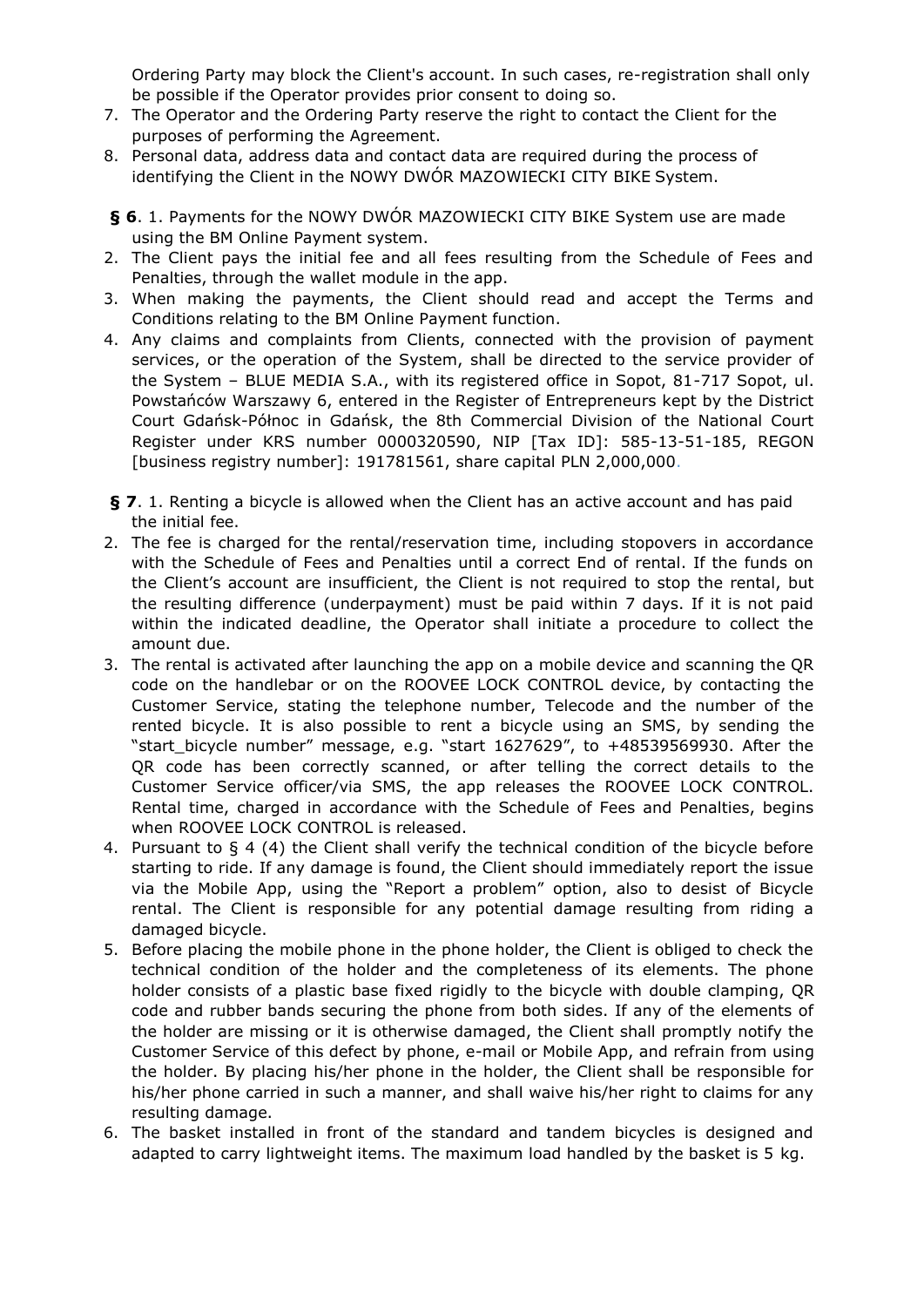Ordering Party may block the Client's account. In such cases, re-registration shall only be possible if the Operator provides prior consent to doing so.

- 7. The Operator and the Ordering Party reserve the right to contact the Client for the purposes of performing the Agreement.
- 8. Personal data, address data and contact data are required during the process of identifying the Client in the NOWY DWÓR MAZOWIECKI CITY BIKE System.
- **§ 6**. 1. Payments for the NOWY DWÓR MAZOWIECKI CITY BIKE System use are made using the BM Online Payment system.
- 2. The Client pays the initial fee and all fees resulting from the Schedule of Fees and Penalties, through the wallet module in the app.
- 3. When making the payments, the Client should read and accept the Terms and Conditions relating to the BM Online Payment function.
- 4. Any claims and complaints from Clients, connected with the provision of payment services, or the operation of the System, shall be directed to the service provider of the System - BLUE MEDIA S.A., with its registered office in Sopot, 81-717 Sopot, ul. Powstańców Warszawy 6, entered in the Register of Entrepreneurs kept by the District Court Gdańsk-Północ in Gdańsk, the 8th Commercial Division of the National Court Register under KRS number 0000320590, NIP [Tax ID]: 585-13-51-185, REGON [business registry number]: 191781561, share capital PLN 2,000,000.
- **§ 7**. 1. Renting a bicycle is allowed when the Client has an active account and has paid the initial fee.
- 2. The fee is charged for the rental/reservation time, including stopovers in accordance with the Schedule of Fees and Penalties until a correct End of rental. If the funds on the Client's account are insufficient, the Client is not required to stop the rental, but the resulting difference (underpayment) must be paid within 7 days. If it is not paid within the indicated deadline, the Operator shall initiate a procedure to collect the amount due.
- 3. The rental is activated after launching the app on a mobile device and scanning the QR code on the handlebar or on the ROOVEE LOCK CONTROL device, by contacting the Customer Service, stating the telephone number, Telecode and the number of the rented bicycle. It is also possible to rent a bicycle using an SMS, by sending the "start\_bicycle number" message, e.g. "start 1627629", to +48539569930. After the QR code has been correctly scanned, or after telling the correct details to the Customer Service officer/via SMS, the app releases the ROOVEE LOCK CONTROL. Rental time, charged in accordance with the Schedule of Fees and Penalties, begins when ROOVEE LOCK CONTROL is released.
- 4. Pursuant to § 4 (4) the Client shall verify the technical condition of the bicycle before starting to ride. If any damage is found, the Client should immediately report the issue via the Mobile App, using the "Report a problem" option, also to desist of Bicycle rental. The Client is responsible for any potential damage resulting from riding a damaged bicycle.
- 5. Before placing the mobile phone in the phone holder, the Client is obliged to check the technical condition of the holder and the completeness of its elements. The phone holder consists of a plastic base fixed rigidly to the bicycle with double clamping, QR code and rubber bands securing the phone from both sides. If any of the elements of the holder are missing or it is otherwise damaged, the Client shall promptly notify the Customer Service of this defect by phone, e-mail or Mobile App, and refrain from using the holder. By placing his/her phone in the holder, the Client shall be responsible for his/her phone carried in such a manner, and shall waive his/her right to claims for any resulting damage.
- 6. The basket installed in front of the standard and tandem bicycles is designed and adapted to carry lightweight items. The maximum load handled by the basket is 5 kg.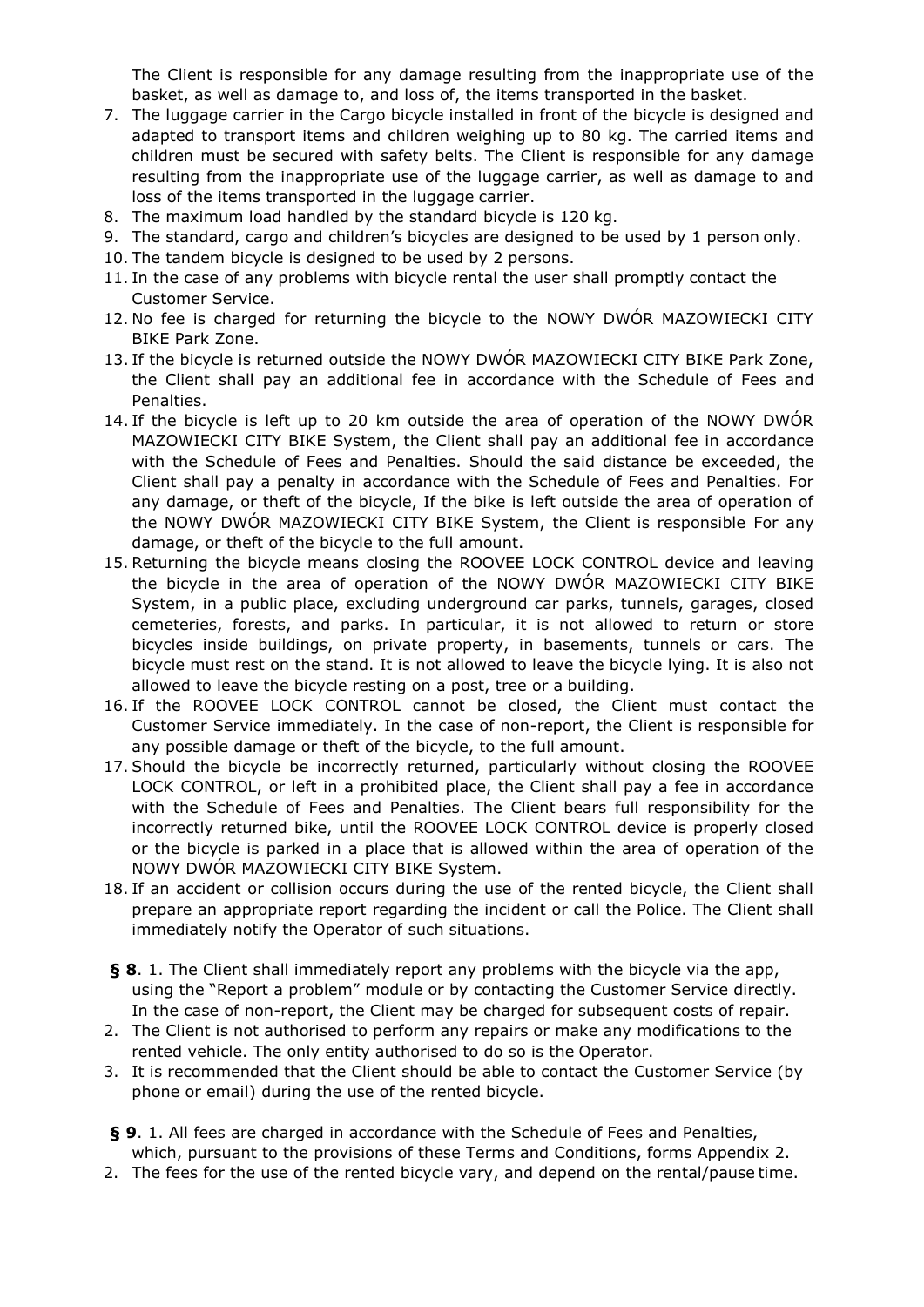The Client is responsible for any damage resulting from the inappropriate use of the basket, as well as damage to, and loss of, the items transported in the basket.

- 7. The luggage carrier in the Cargo bicycle installed in front of the bicycle is designed and adapted to transport items and children weighing up to 80 kg. The carried items and children must be secured with safety belts. The Client is responsible for any damage resulting from the inappropriate use of the luggage carrier, as well as damage to and loss of the items transported in the luggage carrier.
- 8. The maximum load handled by the standard bicycle is 120 kg.
- 9. The standard, cargo and children's bicycles are designed to be used by 1 person only.
- 10. The tandem bicycle is designed to be used by 2 persons.
- 11. In the case of any problems with bicycle rental the user shall promptly contact the Customer Service.
- 12. No fee is charged for returning the bicycle to the NOWY DWÓR MAZOWIECKI CITY BIKE Park Zone.
- 13. If the bicycle is returned outside the NOWY DWÓR MAZOWIECKI CITY BIKE Park Zone, the Client shall pay an additional fee in accordance with the Schedule of Fees and Penalties.
- 14. If the bicycle is left up to 20 km outside the area of operation of the NOWY DWÓR MAZOWIECKI CITY BIKE System, the Client shall pay an additional fee in accordance with the Schedule of Fees and Penalties. Should the said distance be exceeded, the Client shall pay a penalty in accordance with the Schedule of Fees and Penalties. For any damage, or theft of the bicycle, If the bike is left outside the area of operation of the NOWY DWÓR MAZOWIECKI CITY BIKE System, the Client is responsible For any damage, or theft of the bicycle to the full amount.
- 15. Returning the bicycle means closing the ROOVEE LOCK CONTROL device and leaving the bicycle in the area of operation of the NOWY DWÓR MAZOWIECKI CITY BIKE System, in a public place, excluding underground car parks, tunnels, garages, closed cemeteries, forests, and parks. In particular, it is not allowed to return or store bicycles inside buildings, on private property, in basements, tunnels or cars. The bicycle must rest on the stand. It is not allowed to leave the bicycle lying. It is also not allowed to leave the bicycle resting on a post, tree or a building.
- 16. If the ROOVEE LOCK CONTROL cannot be closed, the Client must contact the Customer Service immediately. In the case of non-report, the Client is responsible for any possible damage or theft of the bicycle, to the full amount.
- 17. Should the bicycle be incorrectly returned, particularly without closing the ROOVEE LOCK CONTROL, or left in a prohibited place, the Client shall pay a fee in accordance with the Schedule of Fees and Penalties. The Client bears full responsibility for the incorrectly returned bike, until the ROOVEE LOCK CONTROL device is properly closed or the bicycle is parked in a place that is allowed within the area of operation of the NOWY DWÓR MAZOWIECKI CITY BIKE System.
- 18. If an accident or collision occurs during the use of the rented bicycle, the Client shall prepare an appropriate report regarding the incident or call the Police. The Client shall immediately notify the Operator of such situations.
- **§ 8**. 1. The Client shall immediately report any problems with the bicycle via the app, using the "Report a problem" module or by contacting the Customer Service directly. In the case of non-report, the Client may be charged for subsequent costs of repair.
- 2. The Client is not authorised to perform any repairs or make any modifications to the rented vehicle. The only entity authorised to do so is the Operator.
- 3. It is recommended that the Client should be able to contact the Customer Service (by phone or email) during the use of the rented bicycle.
- **§ 9**. 1. All fees are charged in accordance with the Schedule of Fees and Penalties, which, pursuant to the provisions of these Terms and Conditions, forms Appendix 2.
- 2. The fees for the use of the rented bicycle vary, and depend on the rental/pause time.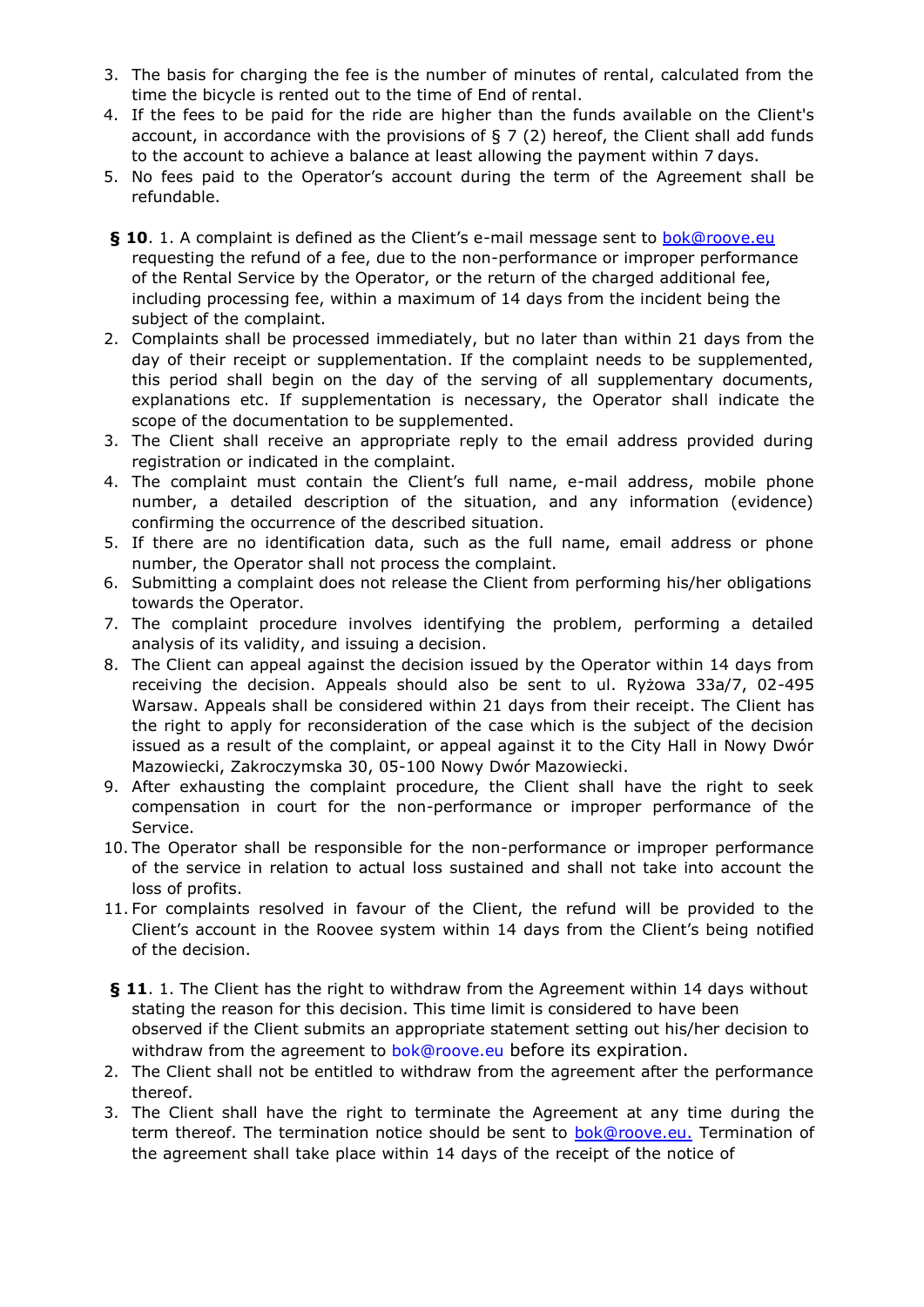- 3. The basis for charging the fee is the number of minutes of rental, calculated from the time the bicycle is rented out to the time of End of rental.
- 4. If the fees to be paid for the ride are higher than the funds available on the Client's account, in accordance with the provisions of  $\S 7(2)$  hereof, the Client shall add funds to the account to achieve a balance at least allowing the payment within 7 days.
- 5. No fees paid to the Operator's account during the term of the Agreement shall be refundable.
- **§ 10**. 1. A complaint is defined as the Client's e-mail message sent to [bok@roove.eu](mailto:bok@roove.eu) requesting the refund of a fee, due to the non-performance or improper performance of the Rental Service by the Operator, or the return of the charged additional fee, including processing fee, within a maximum of 14 days from the incident being the subject of the complaint.
- 2. Complaints shall be processed immediately, but no later than within 21 days from the day of their receipt or supplementation. If the complaint needs to be supplemented, this period shall begin on the day of the serving of all supplementary documents, explanations etc. If supplementation is necessary, the Operator shall indicate the scope of the documentation to be supplemented.
- 3. The Client shall receive an appropriate reply to the email address provided during registration or indicated in the complaint.
- 4. The complaint must contain the Client's full name, e-mail address, mobile phone number, a detailed description of the situation, and any information (evidence) confirming the occurrence of the described situation.
- 5. If there are no identification data, such as the full name, email address or phone number, the Operator shall not process the complaint.
- 6. Submitting a complaint does not release the Client from performing his/her obligations towards the Operator.
- 7. The complaint procedure involves identifying the problem, performing a detailed analysis of its validity, and issuing a decision.
- 8. The Client can appeal against the decision issued by the Operator within 14 days from receiving the decision. Appeals should also be sent to ul. Ryżowa 33a/7, 02-495 Warsaw. Appeals shall be considered within 21 days from their receipt. The Client has the right to apply for reconsideration of the case which is the subject of the decision issued as a result of the complaint, or appeal against it to the City Hall in Nowy Dwór Mazowiecki, Zakroczymska 30, 05-100 Nowy Dwór Mazowiecki.
- 9. After exhausting the complaint procedure, the Client shall have the right to seek compensation in court for the non-performance or improper performance of the Service.
- 10. The Operator shall be responsible for the non-performance or improper performance of the service in relation to actual loss sustained and shall not take into account the loss of profits.
- 11. For complaints resolved in favour of the Client, the refund will be provided to the Client's account in the Roovee system within 14 days from the Client's being notified of the decision.
- **§ 11**. 1. The Client has the right to withdraw from the Agreement within 14 days without stating the reason for this decision. This time limit is considered to have been observed if the Client submits an appropriate statement setting out his/her decision to withdraw from the agreement to [bok@roove.eu](mailto:bok@roove.eu) before its expiration.
- 2. The Client shall not be entitled to withdraw from the agreement after the performance thereof.
- 3. The Client shall have the right to terminate the Agreement at any time during the term thereof. The termination notice should be sent to [bok@roove.eu.](mailto:bok@roove.eu) Termination of the agreement shall take place within 14 days of the receipt of the notice of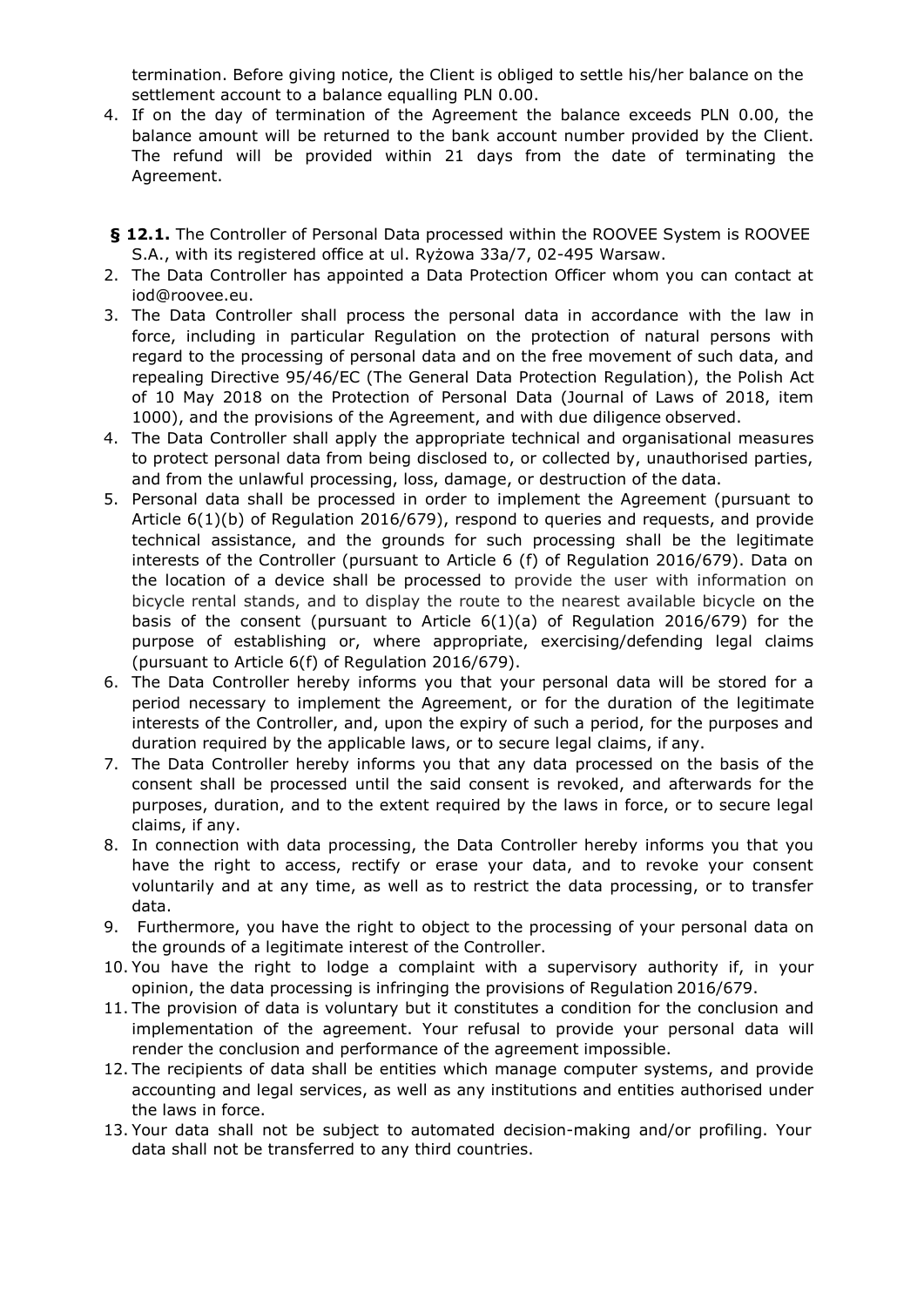termination. Before giving notice, the Client is obliged to settle his/her balance on the settlement account to a balance equalling PLN 0.00.

- 4. If on the day of termination of the Agreement the balance exceeds PLN 0.00, the balance amount will be returned to the bank account number provided by the Client. The refund will be provided within 21 days from the date of terminating the Agreement.
- **§ 12.1.** The Controller of Personal Data processed within the ROOVEE System is ROOVEE S.A., with its registered office at ul. Ryżowa 33a/7, 02-495 Warsaw.
- 2. The Data Controller has appointed a Data Protection Officer whom you can contact a[t](mailto:iod@roovee.eu) [iod@roovee.eu.](mailto:iod@roovee.eu)
- 3. The Data Controller shall process the personal data in accordance with the law in force, including in particular Regulation on the protection of natural persons with regard to the processing of personal data and on the free movement of such data, and repealing Directive 95/46/EC (The General Data Protection Regulation), the Polish Act of 10 May 2018 on the Protection of Personal Data (Journal of Laws of 2018, item 1000), and the provisions of the Agreement, and with due diligence observed.
- 4. The Data Controller shall apply the appropriate technical and organisational measures to protect personal data from being disclosed to, or collected by, unauthorised parties, and from the unlawful processing, loss, damage, or destruction of the data.
- 5. Personal data shall be processed in order to implement the Agreement (pursuant to Article 6(1)(b) of Regulation 2016/679), respond to queries and requests, and provide technical assistance, and the grounds for such processing shall be the legitimate interests of the Controller (pursuant to Article 6 (f) of Regulation 2016/679). Data on the location of a device shall be processed to provide the user with information on bicycle rental stands, and to display the route to the nearest available bicycle on the basis of the consent (pursuant to Article 6(1)(a) of Regulation 2016/679) for the purpose of establishing or, where appropriate, exercising/defending legal claims (pursuant to Article 6(f) of Regulation 2016/679).
- 6. The Data Controller hereby informs you that your personal data will be stored for a period necessary to implement the Agreement, or for the duration of the legitimate interests of the Controller, and, upon the expiry of such a period, for the purposes and duration required by the applicable laws, or to secure legal claims, if any.
- 7. The Data Controller hereby informs you that any data processed on the basis of the consent shall be processed until the said consent is revoked, and afterwards for the purposes, duration, and to the extent required by the laws in force, or to secure legal claims, if any.
- 8. In connection with data processing, the Data Controller hereby informs you that you have the right to access, rectify or erase your data, and to revoke your consent voluntarily and at any time, as well as to restrict the data processing, or to transfer data.
- 9. Furthermore, you have the right to object to the processing of your personal data on the grounds of a legitimate interest of the Controller.
- 10. You have the right to lodge a complaint with a supervisory authority if, in your opinion, the data processing is infringing the provisions of Regulation 2016/679.
- 11. The provision of data is voluntary but it constitutes a condition for the conclusion and implementation of the agreement. Your refusal to provide your personal data will render the conclusion and performance of the agreement impossible.
- 12. The recipients of data shall be entities which manage computer systems, and provide accounting and legal services, as well as any institutions and entities authorised under the laws in force.
- 13. Your data shall not be subject to automated decision-making and/or profiling. Your data shall not be transferred to any third countries.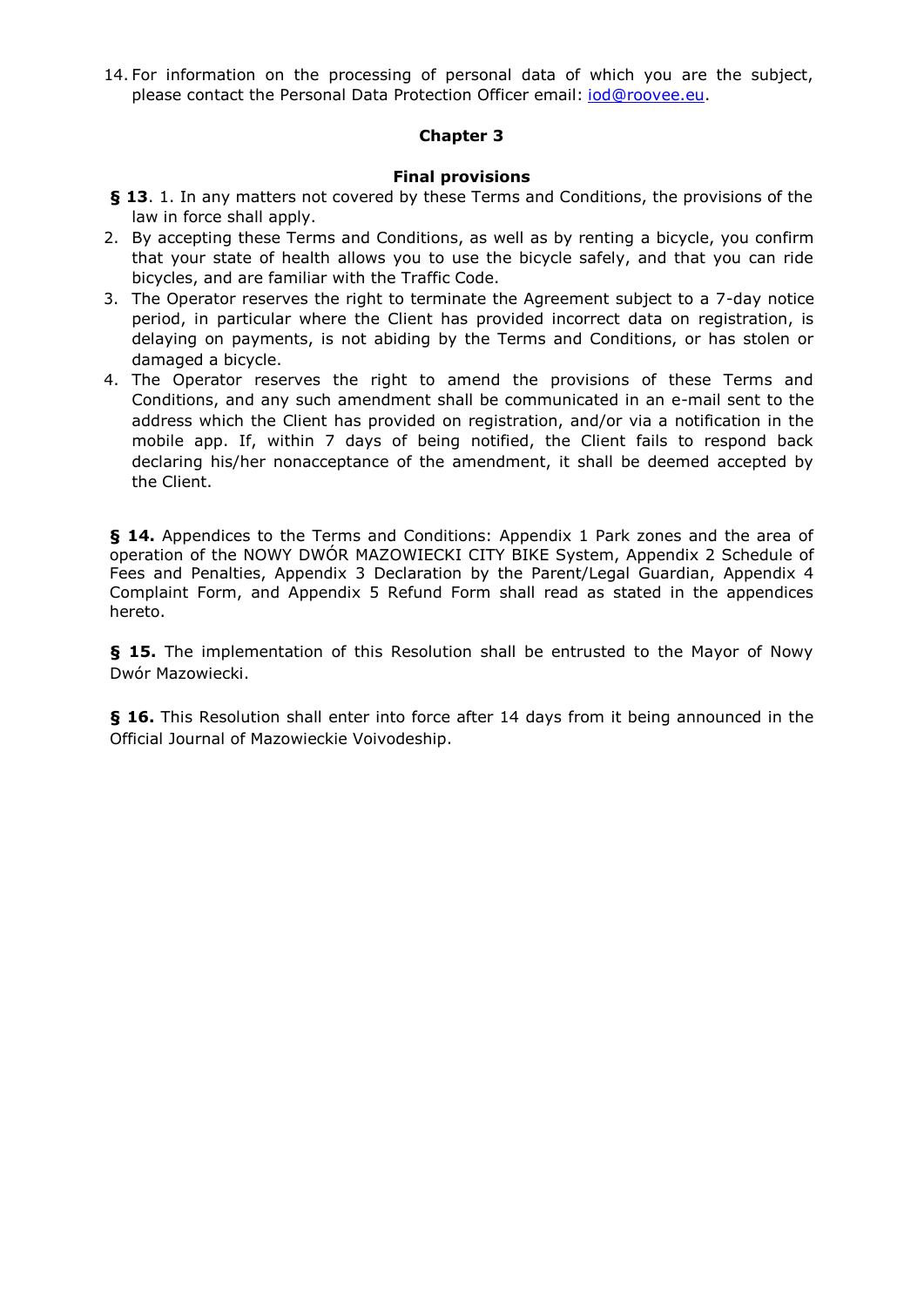14. For information on the processing of personal data of which you are the subject, please contact the Personal Data Protection Officer email: *[iod@roovee.eu.](mailto:iod@roovee.eu)* 

## **Chapter 3**

## **Final provisions**

- **§ 13**. 1. In any matters not covered by these Terms and Conditions, the provisions of the law in force shall apply.
- 2. By accepting these Terms and Conditions, as well as by renting a bicycle, you confirm that your state of health allows you to use the bicycle safely, and that you can ride bicycles, and are familiar with the Traffic Code.
- 3. The Operator reserves the right to terminate the Agreement subject to a 7-day notice period, in particular where the Client has provided incorrect data on registration, is delaying on payments, is not abiding by the Terms and Conditions, or has stolen or damaged a bicycle.
- 4. The Operator reserves the right to amend the provisions of these Terms and Conditions, and any such amendment shall be communicated in an e-mail sent to the address which the Client has provided on registration, and/or via a notification in the mobile app. If, within 7 days of being notified, the Client fails to respond back declaring his/her nonacceptance of the amendment, it shall be deemed accepted by the Client.

**§ 14.** Appendices to the Terms and Conditions: Appendix 1 Park zones and the area of operation of the NOWY DWÓR MAZOWIECKI CITY BIKE System, Appendix 2 Schedule of Fees and Penalties, Appendix 3 Declaration by the Parent/Legal Guardian, Appendix 4 Complaint Form, and Appendix 5 Refund Form shall read as stated in the appendices hereto.

**§ 15.** The implementation of this Resolution shall be entrusted to the Mayor of Nowy Dwór Mazowiecki.

**§ 16.** This Resolution shall enter into force after 14 days from it being announced in the Official Journal of Mazowieckie Voivodeship.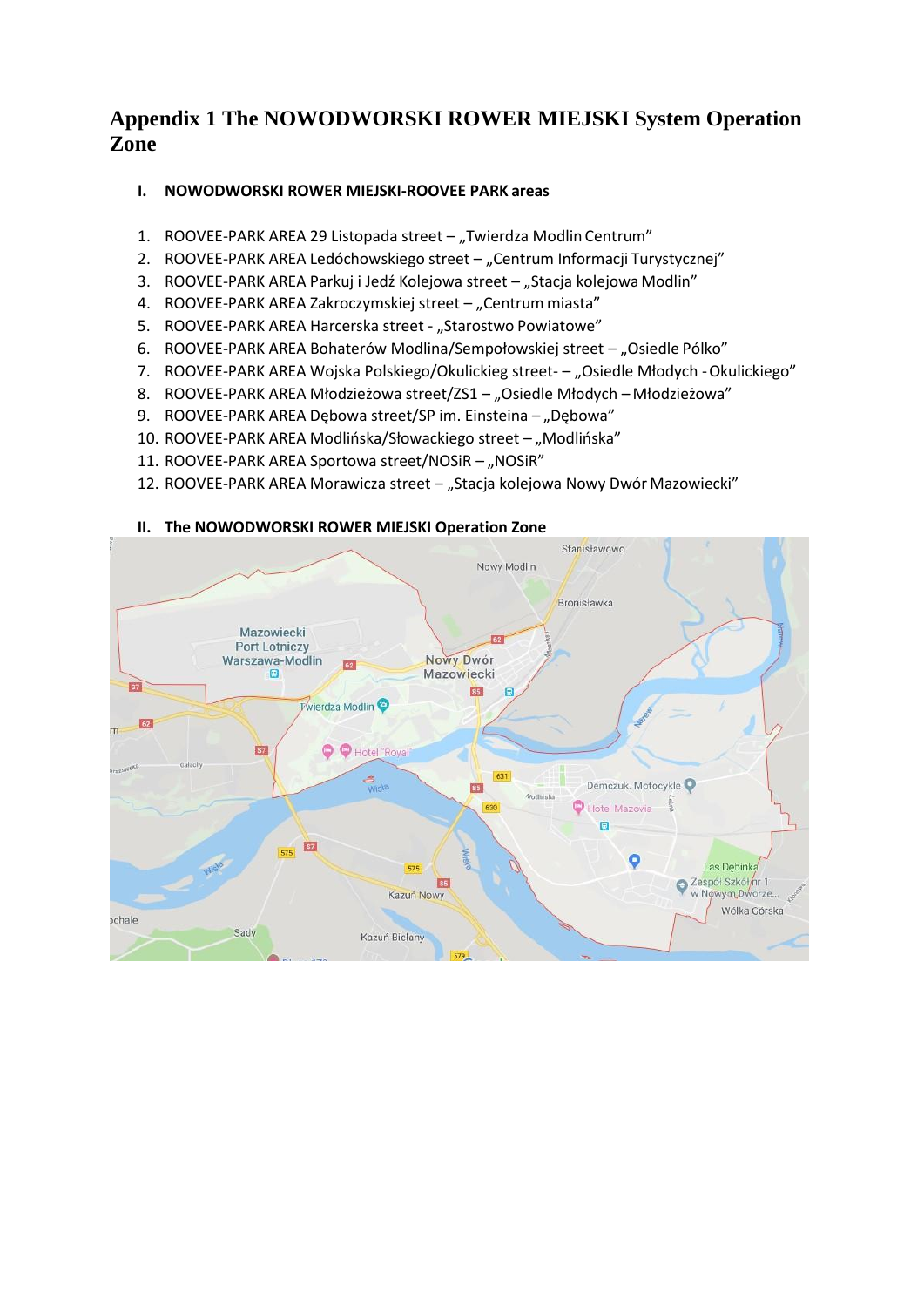## **Appendix 1 The NOWODWORSKI ROWER MIEJSKI System Operation Zone**

## **I. NOWODWORSKI ROWER MIEJSKI-ROOVEE PARK areas**

- 1. ROOVEE-PARK AREA 29 Listopada street "Twierdza Modlin Centrum"
- 2. ROOVEE-PARK AREA Ledóchowskiego street "Centrum Informacji Turystycznej"
- 3. ROOVEE-PARK AREA Parkuj i Jedź Kolejowa street "Stacja kolejowa Modlin"
- 4. ROOVEE-PARK AREA Zakroczymskiej street "Centrum miasta"
- 5. ROOVEE-PARK AREA Harcerska street "Starostwo Powiatowe"
- 6. ROOVEE-PARK AREA Bohaterów Modlina/Sempołowskiej street "Osiedle Pólko"
- 7. ROOVEE-PARK AREA Wojska Polskiego/Okulickieg street- "Osiedle Młodych Okulickiego"
- 8. ROOVEE-PARK AREA Młodzieżowa street/ZS1 "Osiedle Młodych Młodzieżowa"
- 9. ROOVEE-PARK AREA Dębowa street/SP im. Einsteina "Dębowa"
- 10. ROOVEE-PARK AREA Modlińska/Słowackiego street "Modlińska"
- 11. ROOVEE-PARK AREA Sportowa street/NOSiR "NOSiR"
- 12. ROOVEE-PARK AREA Morawicza street "Stacja kolejowa Nowy Dwór Mazowiecki"

#### Stanisławowo Nowy Modlin Bronisławka Mazowiecki  $62$ Port Lotniczy Nowy Dwór Warszawa-Modlin 62 同 Mazowiecki  $57$ 85 Fwierdza Modlin  $E$  $\blacksquare$ 57 **O** Hotel "Royal  $\frac{3}{\text{Wis}^{\text{te}}}$ Demczuk. Motocykle BS. Hotel Mazovia  $\blacksquare$  $\overline{\mathbf{z}}$  $\bullet$ Las Dębinka 575 Zespół Szkół/hr 1 85 w Nowym Dworze... Kazuń Nowy Wólka Górska ochale Sady Kazuń-Bielany

#### **II. The NOWODWORSKI ROWER MIEJSKI Operation Zone**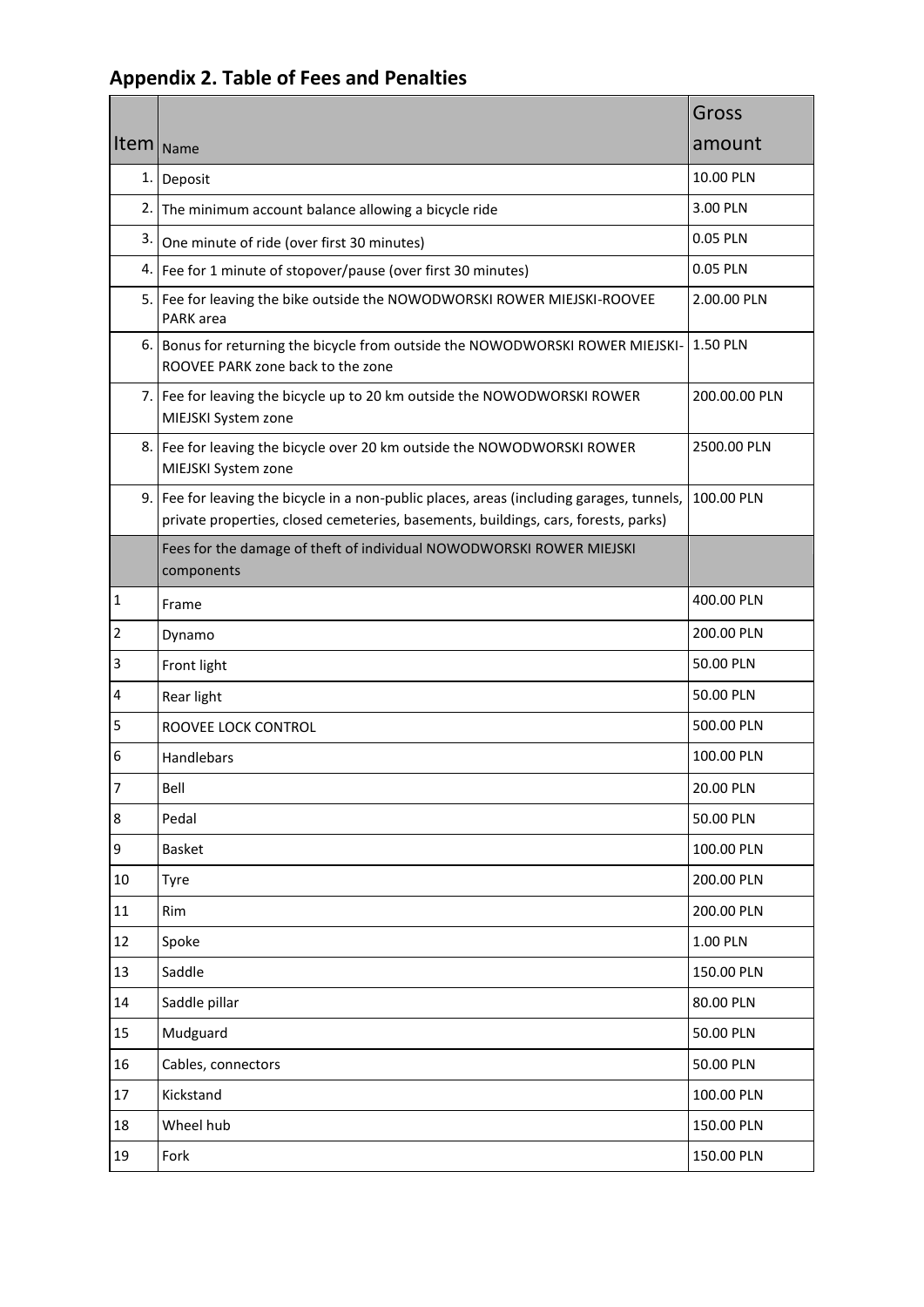|                         |                                                                                                                                                                              | Gross         |
|-------------------------|------------------------------------------------------------------------------------------------------------------------------------------------------------------------------|---------------|
| Item Name               |                                                                                                                                                                              | amount        |
|                         | 1. Deposit                                                                                                                                                                   | 10.00 PLN     |
|                         | 2. The minimum account balance allowing a bicycle ride                                                                                                                       | 3.00 PLN      |
| 3.                      | One minute of ride (over first 30 minutes)                                                                                                                                   | 0.05 PLN      |
|                         | 4.   Fee for 1 minute of stopover/pause (over first 30 minutes)                                                                                                              | 0.05 PLN      |
|                         | 5. Fee for leaving the bike outside the NOWODWORSKI ROWER MIEJSKI-ROOVEE<br>PARK area                                                                                        | 2.00.00 PLN   |
|                         | 6. Bonus for returning the bicycle from outside the NOWODWORSKI ROWER MIEJSKI- 1.50 PLN<br>ROOVEE PARK zone back to the zone                                                 |               |
|                         | 7. Fee for leaving the bicycle up to 20 km outside the NOWODWORSKI ROWER<br>MIEJSKI System zone                                                                              | 200.00.00 PLN |
|                         | 8. Fee for leaving the bicycle over 20 km outside the NOWODWORSKI ROWER<br>MIEJSKI System zone                                                                               | 2500.00 PLN   |
| 9. I                    | Fee for leaving the bicycle in a non-public places, areas (including garages, tunnels,<br>private properties, closed cemeteries, basements, buildings, cars, forests, parks) | 100.00 PLN    |
|                         | Fees for the damage of theft of individual NOWODWORSKI ROWER MIEJSKI<br>components                                                                                           |               |
| 1                       | Frame                                                                                                                                                                        | 400.00 PLN    |
| 2                       | Dynamo                                                                                                                                                                       | 200.00 PLN    |
| 3                       | Front light                                                                                                                                                                  | 50.00 PLN     |
| 4                       | Rear light                                                                                                                                                                   | 50.00 PLN     |
| 5                       | ROOVEE LOCK CONTROL                                                                                                                                                          | 500.00 PLN    |
| 6                       | Handlebars                                                                                                                                                                   | 100.00 PLN    |
| $\overline{\mathbf{7}}$ | Bell                                                                                                                                                                         | 20.00 PLN     |
| 8                       | Pedal                                                                                                                                                                        | 50.00 PLN     |
| 9                       | <b>Basket</b>                                                                                                                                                                | 100.00 PLN    |
| 10                      | <b>Tyre</b>                                                                                                                                                                  | 200.00 PLN    |
| 11                      | Rim                                                                                                                                                                          | 200.00 PLN    |
| 12                      | Spoke                                                                                                                                                                        | 1.00 PLN      |
| 13                      | Saddle                                                                                                                                                                       | 150.00 PLN    |
| 14                      | Saddle pillar                                                                                                                                                                | 80.00 PLN     |
| 15                      | Mudguard                                                                                                                                                                     | 50.00 PLN     |
| 16                      | Cables, connectors                                                                                                                                                           | 50.00 PLN     |
| 17                      | Kickstand                                                                                                                                                                    | 100.00 PLN    |
| 18                      | Wheel hub                                                                                                                                                                    | 150.00 PLN    |
| 19                      | Fork                                                                                                                                                                         | 150.00 PLN    |

# **Appendix 2. Table of Fees and Penalties**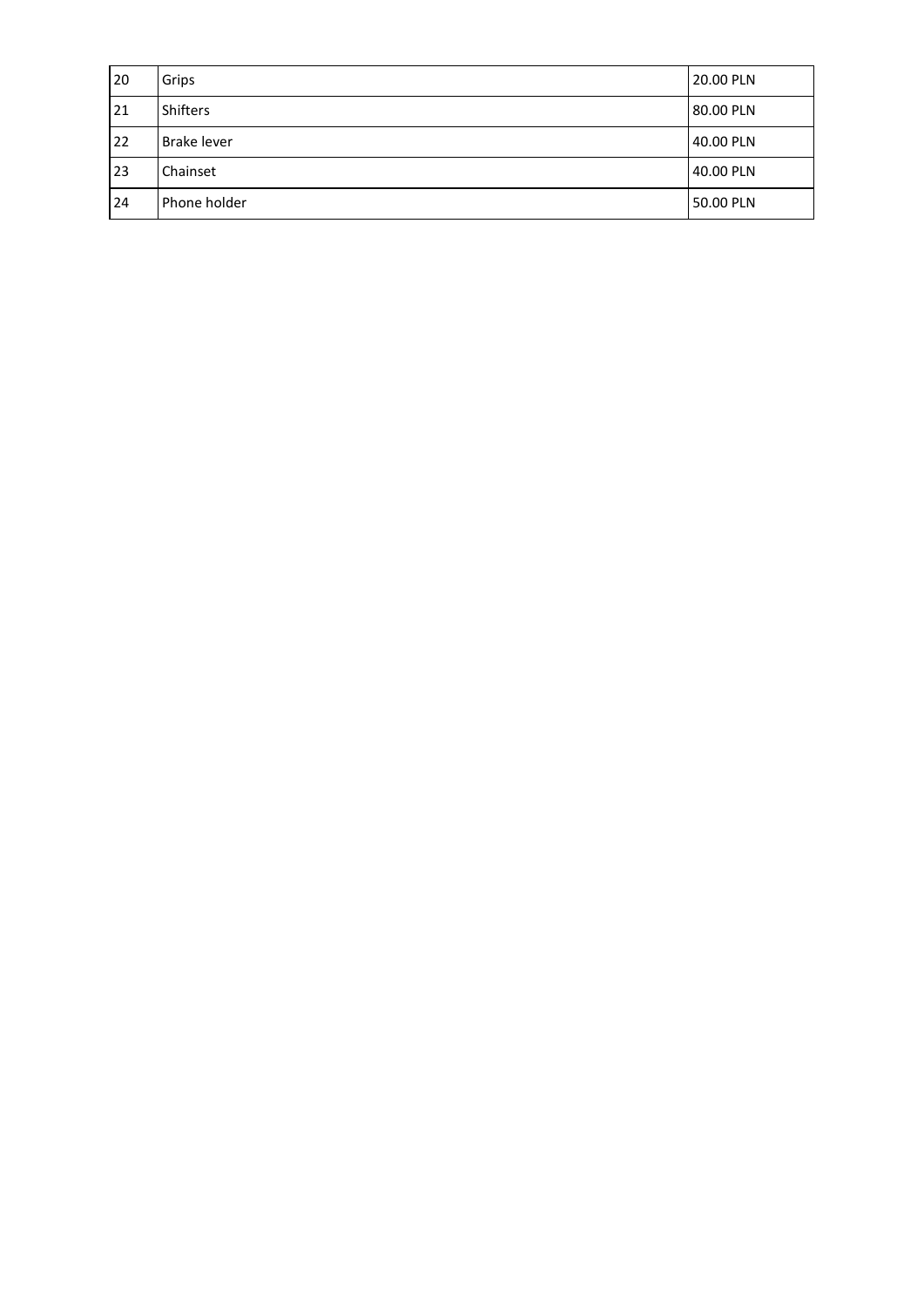| 20 | Grips              | 20.00 PLN |
|----|--------------------|-----------|
| 21 | <b>Shifters</b>    | 80.00 PLN |
| 22 | <b>Brake lever</b> | 40.00 PLN |
| 23 | Chainset           | 40.00 PLN |
| 24 | Phone holder       | 50.00 PLN |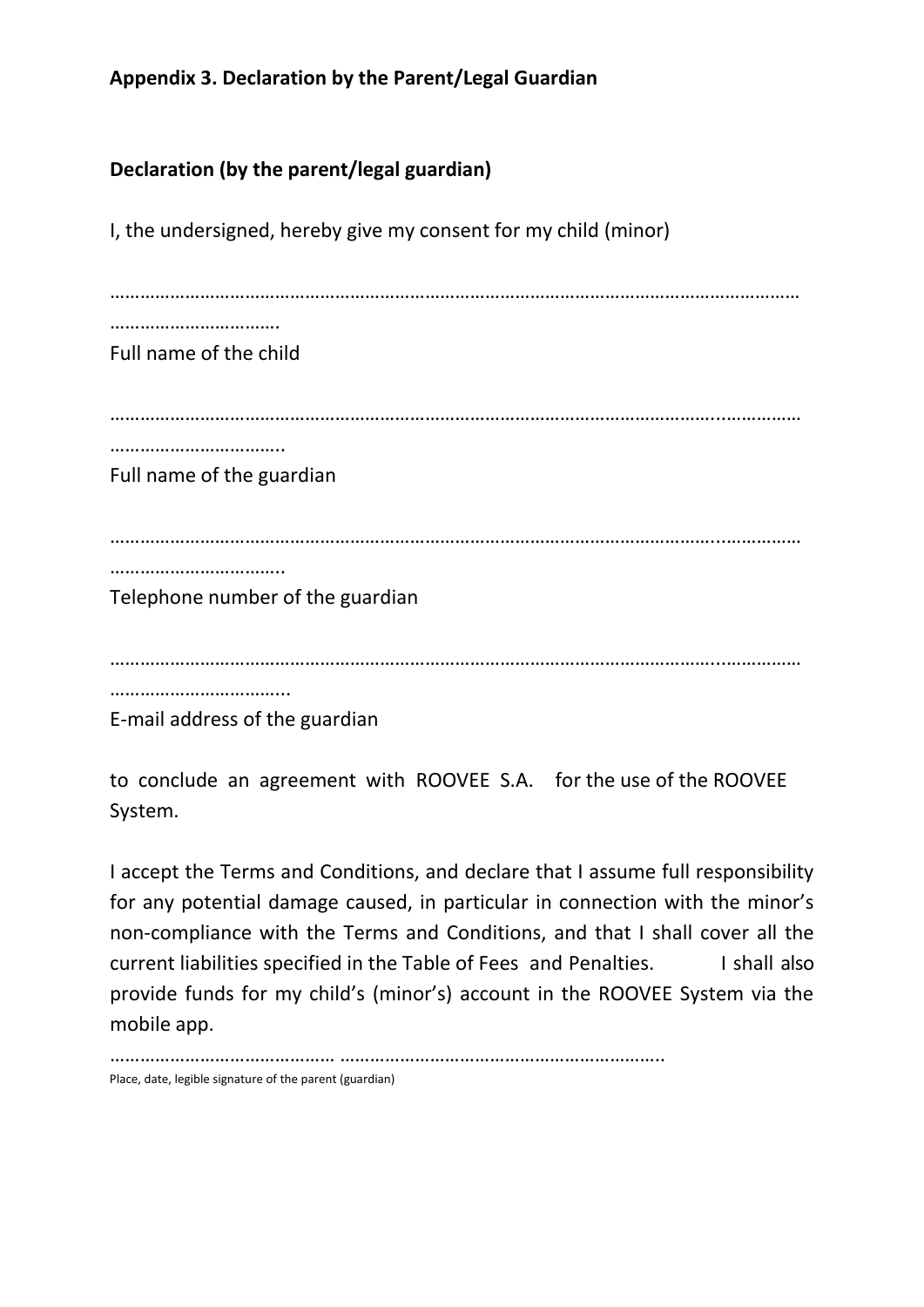## **Appendix 3. Declaration by the Parent/Legal Guardian**

## **Declaration (by the parent/legal guardian)**

I, the undersigned, hereby give my consent for my child (minor)

………………………………………………………………………………………………………………………… ……………………………. Full name of the child …………………………………………………………………………………………………………...…………… ………………………………… Full name of the guardian …………………………………………………………………………………………………………...…………… …………………………….. Telephone number of the guardian …………………………………………………………………………………………………………...…………… ……………………………… E-mail address of the guardian

to conclude an agreement with ROOVEE S.A. for the use of the ROOVEE System.

I accept the Terms and Conditions, and declare that I assume full responsibility for any potential damage caused, in particular in connection with the minor's non-compliance with the Terms and Conditions, and that I shall cover all the current liabilities specified in the Table of Fees and Penalties. I shall also provide funds for my child's (minor's) account in the ROOVEE System via the mobile app.

……………………………………… ……………………………………………………….. Place, date, legible signature of the parent (guardian)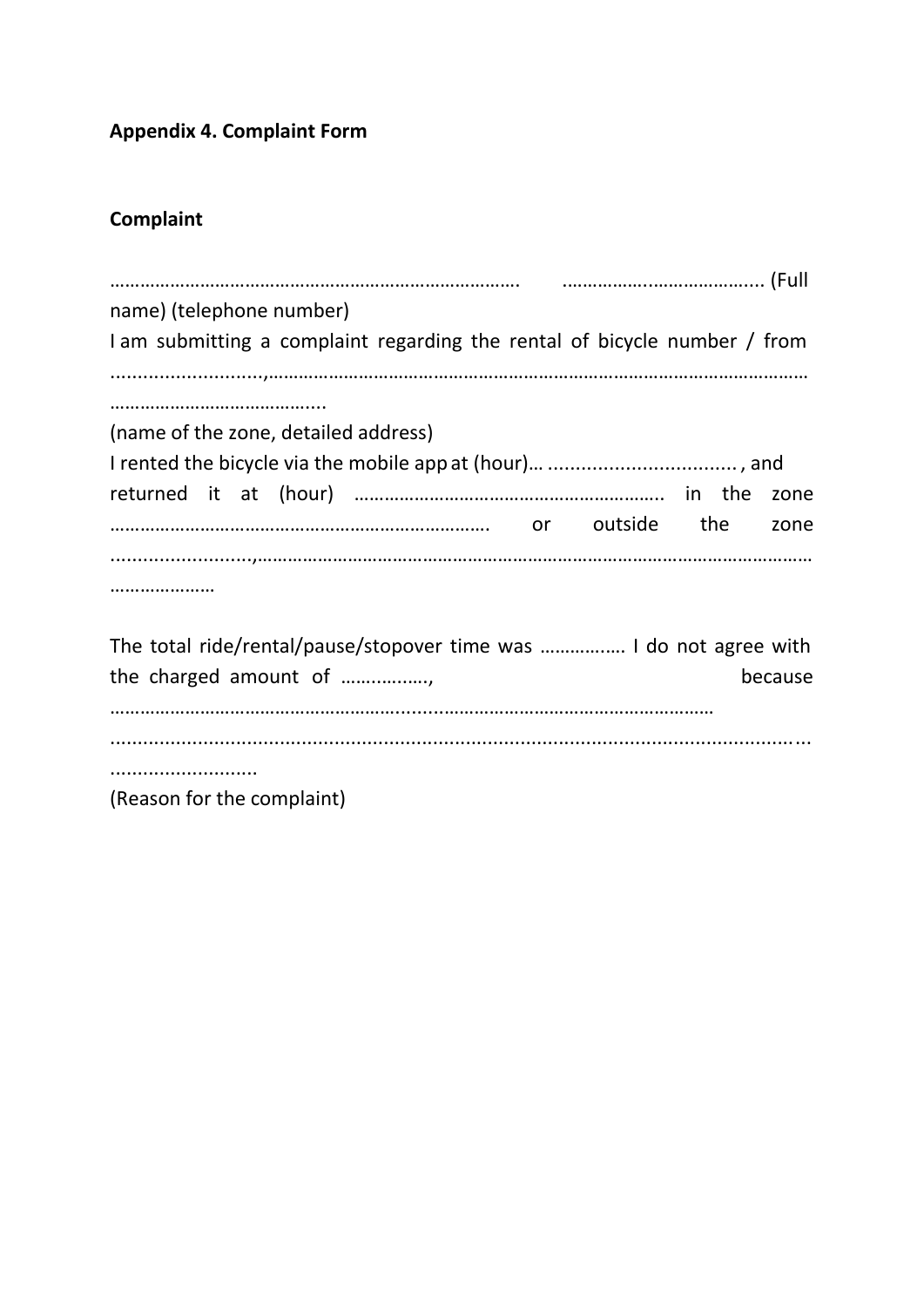**Appendix 4. Complaint Form**

# **Complaint**

| name) (telephone number)                                                  |  |  |  |
|---------------------------------------------------------------------------|--|--|--|
| I am submitting a complaint regarding the rental of bicycle number / from |  |  |  |
|                                                                           |  |  |  |
|                                                                           |  |  |  |
| (name of the zone, detailed address)                                      |  |  |  |
|                                                                           |  |  |  |
| zone                                                                      |  |  |  |
| the<br>outside<br>zone                                                    |  |  |  |
|                                                                           |  |  |  |
|                                                                           |  |  |  |
|                                                                           |  |  |  |
|                                                                           |  |  |  |
| The total ride/rental/pause/stopover time was  I do not agree with        |  |  |  |
| the charged amount of<br>because                                          |  |  |  |
|                                                                           |  |  |  |
|                                                                           |  |  |  |
|                                                                           |  |  |  |
| (Reason for the complaint)                                                |  |  |  |